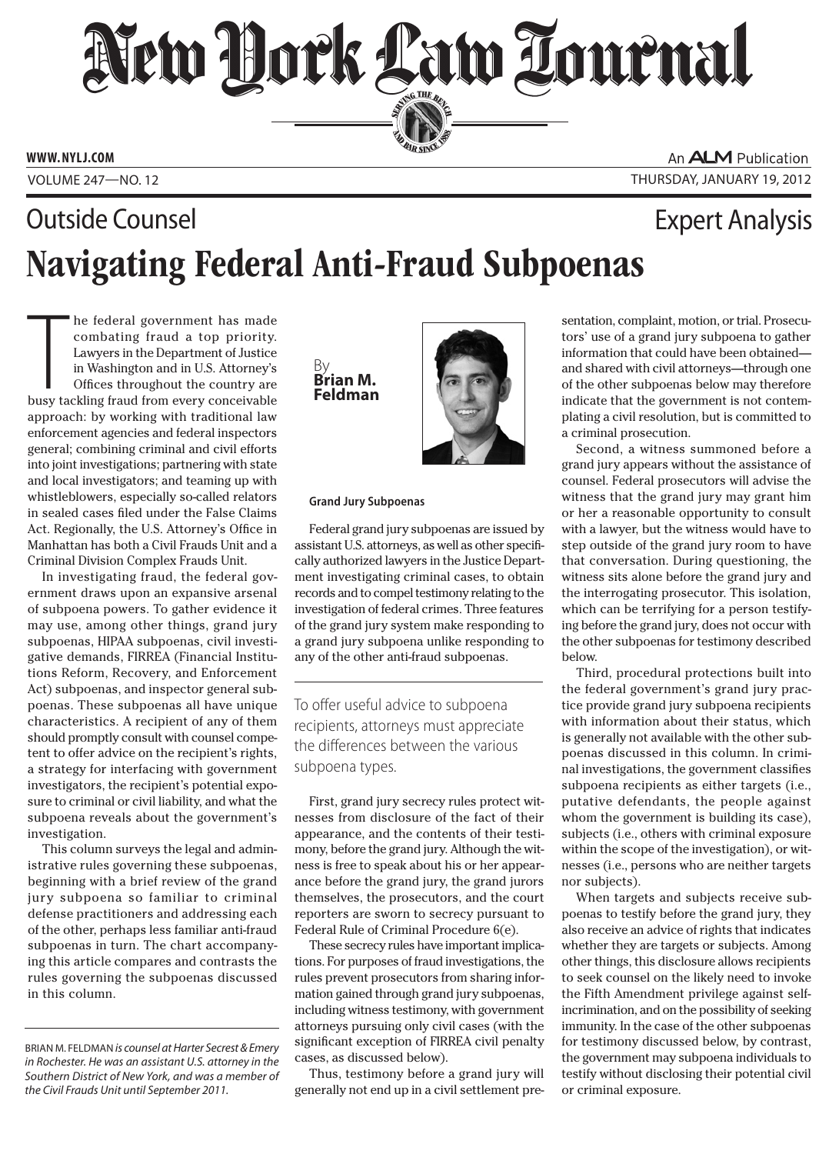# New Hork Law Tournal SERVING THE BEN

**PERSONAL SINCE 1888** 

**www. NYLJ.com**

An **ALM** Publication Volume 247—NO. 12 THURsday, January 19, 2012

# Navigating Federal Anti-Fraud Subpoenas **Outside Counsel Expert Analysis**

he federal government has made<br>combating fraud a top priority.<br>Lawyers in the Department of Justice<br>in Washington and in U.S. Attorney's<br>Offices throughout the country are<br>busy tackling fraud from every conceivable he federal government has made combating fraud a top priority. Lawyers in the Department of Justice in Washington and in U.S. Attorney's Offices throughout the country are approach: by working with traditional law enforcement agencies and federal inspectors general; combining criminal and civil efforts into joint investigations; partnering with state and local investigators; and teaming up with whistleblowers, especially so-called relators in sealed cases filed under the False Claims Act. Regionally, the U.S. Attorney's Office in Manhattan has both a Civil Frauds Unit and a Criminal Division Complex Frauds Unit.

In investigating fraud, the federal government draws upon an expansive arsenal of subpoena powers. To gather evidence it may use, among other things, grand jury subpoenas, HIPAA subpoenas, civil investigative demands, FIRREA (Financial Institutions Reform, Recovery, and Enforcement Act) subpoenas, and inspector general subpoenas. These subpoenas all have unique characteristics. A recipient of any of them should promptly consult with counsel competent to offer advice on the recipient's rights, a strategy for interfacing with government investigators, the recipient's potential exposure to criminal or civil liability, and what the subpoena reveals about the government's investigation.

This column surveys the legal and administrative rules governing these subpoenas, beginning with a brief review of the grand jury subpoena so familiar to criminal defense practitioners and addressing each of the other, perhaps less familiar anti-fraud subpoenas in turn. The chart accompanying this article compares and contrasts the rules governing the subpoenas discussed in this column.

By **Brian M. Feldman**



### **Grand Jury Subpoenas**

Federal grand jury subpoenas are issued by assistant U.S. attorneys, as well as other specifically authorized lawyers in the Justice Department investigating criminal cases, to obtain records and to compel testimony relating to the investigation of federal crimes. Three features of the grand jury system make responding to a grand jury subpoena unlike responding to any of the other anti-fraud subpoenas.

To offer useful advice to subpoena recipients, attorneys must appreciate the differences between the various subpoena types.

First, grand jury secrecy rules protect witnesses from disclosure of the fact of their appearance, and the contents of their testimony, before the grand jury. Although the witness is free to speak about his or her appearance before the grand jury, the grand jurors themselves, the prosecutors, and the court reporters are sworn to secrecy pursuant to Federal Rule of Criminal Procedure 6(e).

These secrecy rules have important implications. For purposes of fraud investigations, the rules prevent prosecutors from sharing information gained through grand jury subpoenas, including witness testimony, with government attorneys pursuing only civil cases (with the significant exception of FIRREA civil penalty cases, as discussed below).

Thus, testimony before a grand jury will generally not end up in a civil settlement pre-

sentation, complaint, motion, or trial. Prosecutors' use of a grand jury subpoena to gather information that could have been obtained and shared with civil attorneys—through one of the other subpoenas below may therefore indicate that the government is not contemplating a civil resolution, but is committed to a criminal prosecution.

Second, a witness summoned before a grand jury appears without the assistance of counsel. Federal prosecutors will advise the witness that the grand jury may grant him or her a reasonable opportunity to consult with a lawyer, but the witness would have to step outside of the grand jury room to have that conversation. During questioning, the witness sits alone before the grand jury and the interrogating prosecutor. This isolation, which can be terrifying for a person testifying before the grand jury, does not occur with the other subpoenas for testimony described below.

Third, procedural protections built into the federal government's grand jury practice provide grand jury subpoena recipients with information about their status, which is generally not available with the other subpoenas discussed in this column. In criminal investigations, the government classifies subpoena recipients as either targets (i.e., putative defendants, the people against whom the government is building its case), subjects (i.e., others with criminal exposure within the scope of the investigation), or witnesses (i.e., persons who are neither targets nor subjects).

When targets and subjects receive subpoenas to testify before the grand jury, they also receive an advice of rights that indicates whether they are targets or subjects. Among other things, this disclosure allows recipients to seek counsel on the likely need to invoke the Fifth Amendment privilege against selfincrimination, and on the possibility of seeking immunity. In the case of the other subpoenas for testimony discussed below, by contrast, the government may subpoena individuals to testify without disclosing their potential civil or criminal exposure.

Brian M. Feldman *is counsel at Harter Secrest & Emery in Rochester. He was an assistant U.S. attorney in the Southern District of New York, and was a member of the Civil Frauds Unit until September 2011.*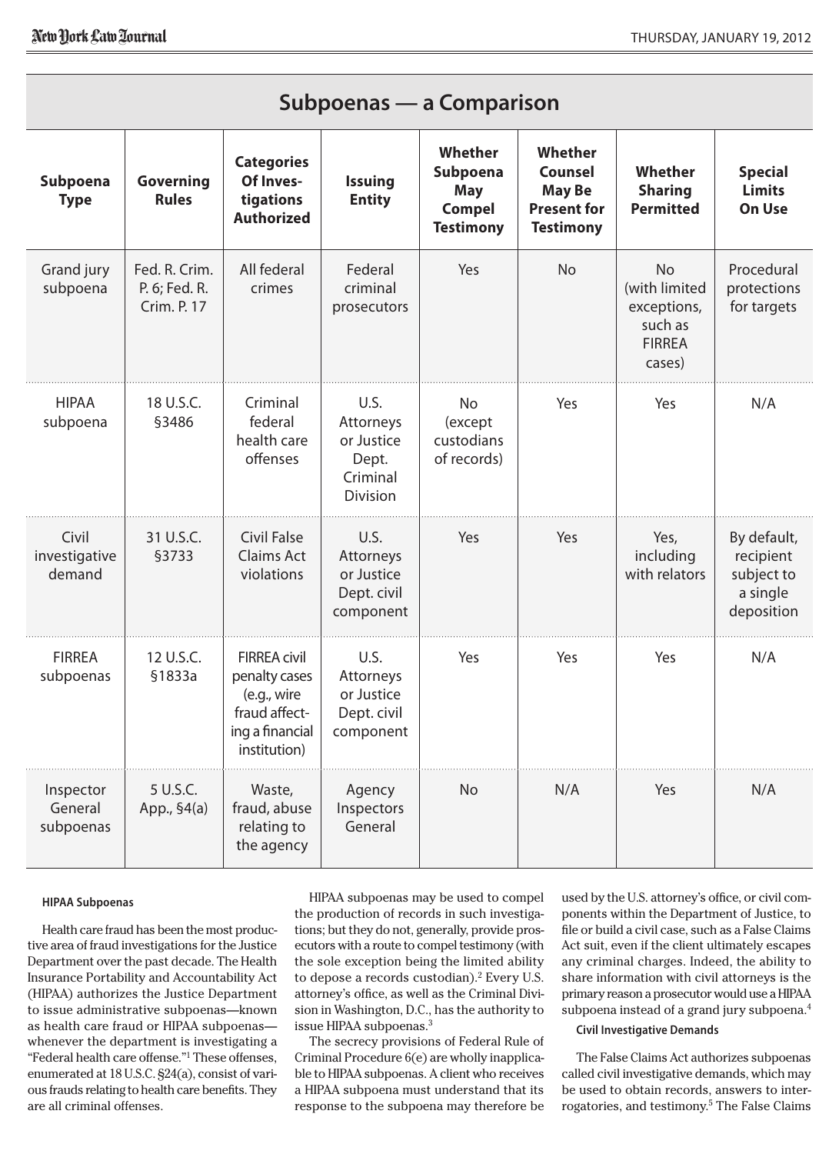| $\mathsf{J}\mathsf{u}\mathsf{u}\mathsf{p}\mathsf{v}\mathsf{c}\mathsf{u}\mathsf{a}\mathsf{s}\mathsf{u}\mathsf{s}\mathsf{u}\mathsf{s}\mathsf{u}\mathsf{s}\mathsf{u}\mathsf{u}\mathsf{u}$ |                                               |                                                                                                         |                                                                  |                                                                        |                                                                                      |                                                                                 |                                                                  |
|----------------------------------------------------------------------------------------------------------------------------------------------------------------------------------------|-----------------------------------------------|---------------------------------------------------------------------------------------------------------|------------------------------------------------------------------|------------------------------------------------------------------------|--------------------------------------------------------------------------------------|---------------------------------------------------------------------------------|------------------------------------------------------------------|
| Subpoena<br><b>Type</b>                                                                                                                                                                | <b>Governing</b><br><b>Rules</b>              | <b>Categories</b><br>Of Inves-<br>tigations<br><b>Authorized</b>                                        | <b>Issuing</b><br><b>Entity</b>                                  | Whether<br>Subpoena<br><b>May</b><br><b>Compel</b><br><b>Testimony</b> | Whether<br><b>Counsel</b><br><b>May Be</b><br><b>Present for</b><br><b>Testimony</b> | Whether<br><b>Sharing</b><br><b>Permitted</b>                                   | <b>Special</b><br><b>Limits</b><br>On Use                        |
| Grand jury<br>subpoena                                                                                                                                                                 | Fed. R. Crim.<br>P. 6; Fed. R.<br>Crim. P. 17 | All federal<br>crimes                                                                                   | Federal<br>criminal<br>prosecutors                               | Yes                                                                    | <b>No</b>                                                                            | <b>No</b><br>(with limited<br>exceptions,<br>such as<br><b>FIRREA</b><br>cases) | Procedural<br>protections<br>for targets                         |
| <b>HIPAA</b><br>subpoena                                                                                                                                                               | 18 U.S.C.<br>§3486                            | Criminal<br>federal<br>health care<br>offenses                                                          | U.S.<br>Attorneys<br>or Justice<br>Dept.<br>Criminal<br>Division | No<br>(except<br>custodians<br>of records)                             | Yes                                                                                  | Yes                                                                             | N/A                                                              |
| Civil<br>investigative<br>demand                                                                                                                                                       | 31 U.S.C.<br><b>§3733</b>                     | <b>Civil False</b><br>Claims Act<br>violations                                                          | U.S.<br>Attorneys<br>or Justice<br>Dept. civil<br>component      | Yes                                                                    | Yes                                                                                  | Yes,<br>including<br>with relators                                              | By default,<br>recipient<br>subject to<br>a single<br>deposition |
| <b>FIRREA</b><br>subpoenas                                                                                                                                                             | 12 U.S.C.<br>§1833a                           | <b>FIRREA civil</b><br>penalty cases<br>(e.g., wire<br>fraud affect-<br>ing a financial<br>institution) | U.S.<br>Attorneys<br>or Justice<br>Dept. civil<br>component      | Yes                                                                    | Yes                                                                                  | Yes                                                                             | N/A                                                              |
| Inspector<br>General<br>subpoenas                                                                                                                                                      | 5 U.S.C.<br>App., §4(a)                       | Waste,<br>fraud, abuse<br>relating to<br>the agency                                                     | Agency<br>Inspectors<br>General                                  | No                                                                     | N/A                                                                                  | Yes                                                                             | N/A                                                              |

**Subpoenas — a Comparison**

#### **HIPAA Subpoenas**

Health care fraud has been the most productive area of fraud investigations for the Justice Department over the past decade. The Health Insurance Portability and Accountability Act (HIPAA) authorizes the Justice Department to issue administrative subpoenas—known as health care fraud or HIPAA subpoenas whenever the department is investigating a "Federal health care offense."1 These offenses, enumerated at 18 U.S.C. §24(a), consist of various frauds relating to health care benefits. They are all criminal offenses.

HIPAA subpoenas may be used to compel the production of records in such investigations; but they do not, generally, provide prosecutors with a route to compel testimony (with the sole exception being the limited ability to depose a records custodian).<sup>2</sup> Every U.S. attorney's office, as well as the Criminal Division in Washington, D.C., has the authority to issue HIPAA subpoenas.3

The secrecy provisions of Federal Rule of Criminal Procedure 6(e) are wholly inapplicable to HIPAA subpoenas. A client who receives a HIPAA subpoena must understand that its response to the subpoena may therefore be

used by the U.S. attorney's office, or civil components within the Department of Justice, to file or build a civil case, such as a False Claims Act suit, even if the client ultimately escapes any criminal charges. Indeed, the ability to share information with civil attorneys is the primary reason a prosecutor would use a HIPAA subpoena instead of a grand jury subpoena.<sup>4</sup>

#### **Civil Investigative Demands**

The False Claims Act authorizes subpoenas called civil investigative demands, which may be used to obtain records, answers to interrogatories, and testimony.5 The False Claims